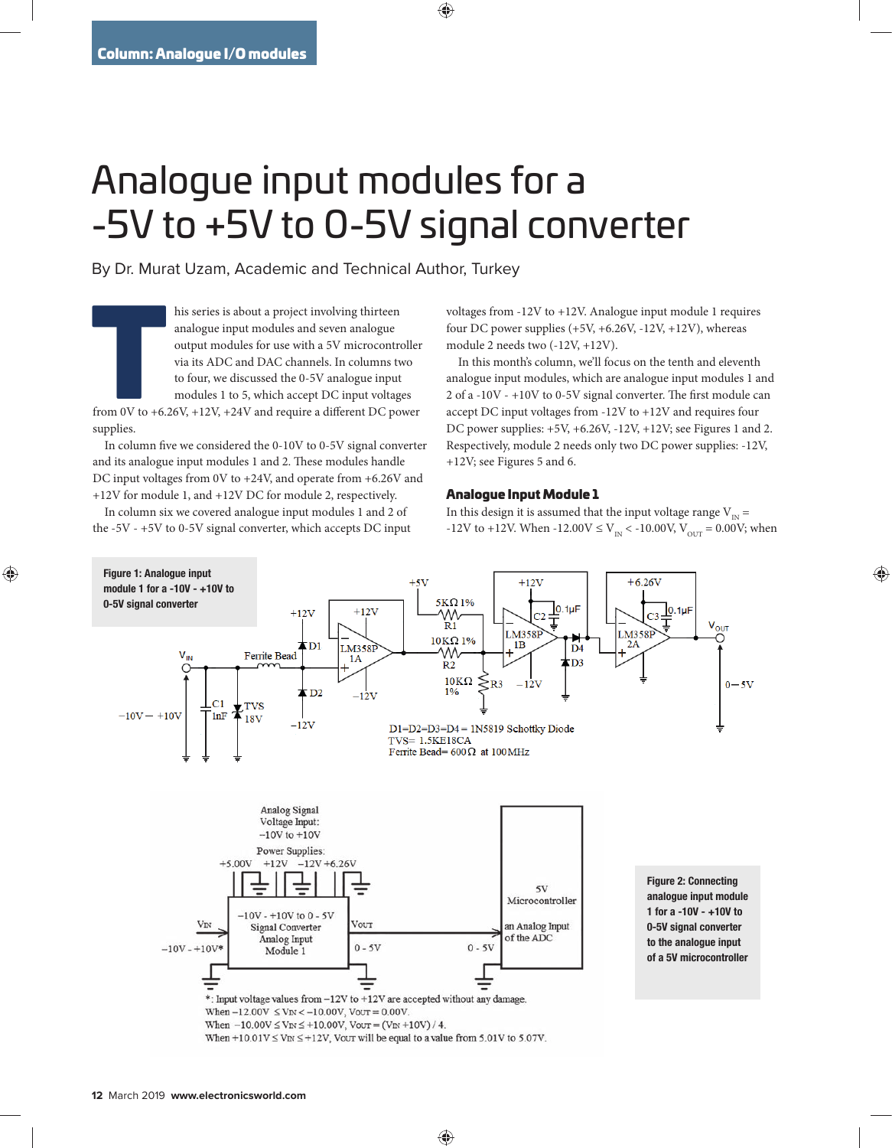## Analogue input modules for a -5V to +5V to 0-5V signal converter

By Dr. Murat Uzam, Academic and Technical Author, Turkey

his series is about a project involving thirteen<br>
analogue input modules and seven analogue<br>
output modules for use with a 5V microcontroller<br>
via its ADC and DAC channels. In columns two<br>
to four, we discussed the 0-5V an analogue input modules and seven analogue output modules for use with a 5V microcontroller via its ADC and DAC channels. In columns two to four, we discussed the 0-5V analogue input modules 1 to 5, which accept DC input voltages

supplies.

In column five we considered the  $0-10V$  to  $0-5V$  signal converter and its analogue input modules 1 and 2. These modules handle DC input voltages from 0V to +24V, and operate from +6.26V and +12V for module 1, and +12V DC for module 2, respectively.

In column six we covered analogue input modules 1 and 2 of the -5V - +5V to 0-5V signal converter, which accepts DC input voltages from -12V to +12V. Analogue input module 1 requires four DC power supplies  $(+5V, +6.26V, -12V, +12V)$ , whereas module 2 needs two (-12V, +12V).

In this month's column, we'll focus on the tenth and eleventh analogue input modules, which are analogue input modules 1 and 2 of a -10V -  $+10V$  to 0-5V signal converter. The first module can accept DC input voltages from -12V to +12V and requires four DC power supplies:  $+5V$ ,  $+6.26V$ ,  $-12V$ ,  $+12V$ ; see Figures 1 and 2. Respectively, module 2 needs only two DC power supplies: -12V, +12V; see Figures 5 and 6.

## Analogue Input Module 1

In this design it is assumed that the input voltage range  $V_{N}$  = -12V to +12V. When -12.00V  $\leq$  V<sub>IN</sub> < -10.00V, V<sub>OUT</sub> = 0.00V; when

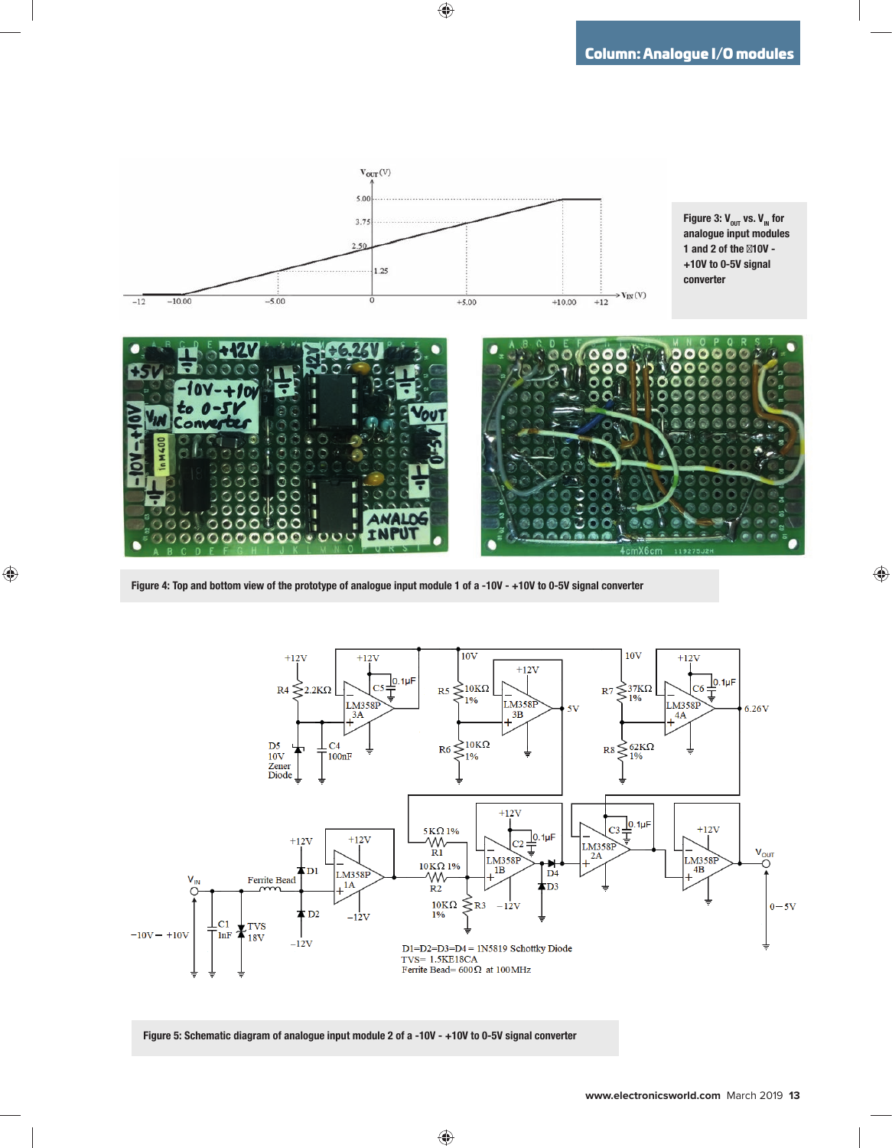

Figure 4: Top and bottom view of the prototype of analogue input module 1 of a -10V - +10V to 0-5V signal converter



Figure 5: Schematic diagram of analogue input module 2 of a -10V - +10V to 0-5V signal converter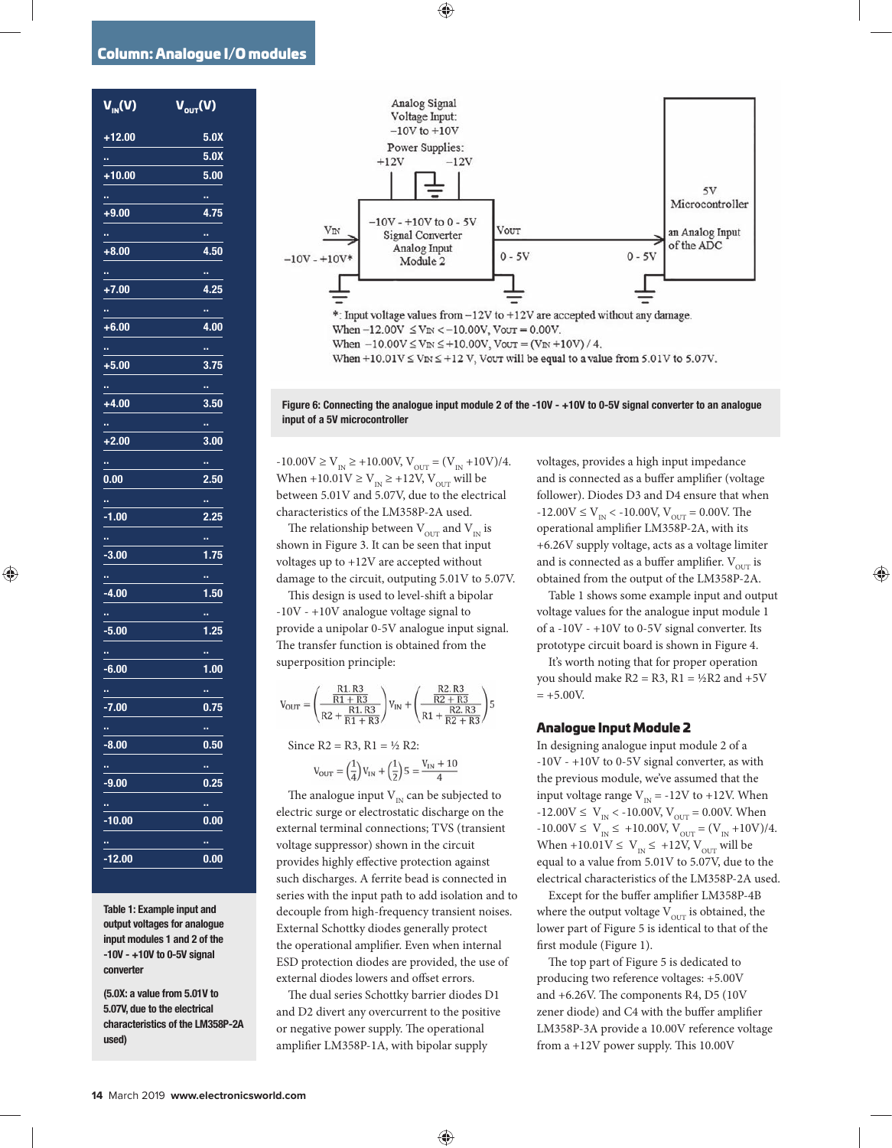## Column: Analogue I/O modules

| $\overline{\mathsf{V}_{\scriptscriptstyle \sf IN}(\mathsf{V})}$ | $\overline{\mathsf{V}_{\mathsf{out}}(\mathsf{V})}$ |
|-----------------------------------------------------------------|----------------------------------------------------|
| +12.00                                                          | 5.0X                                               |
| ÷,                                                              | $\overline{5.0X}$                                  |
| $+10.00$                                                        | 5.00                                               |
| œ,                                                              | o,                                                 |
| $+9.00$                                                         | 4.75                                               |
| ņ.                                                              | o,                                                 |
| $+8.00$                                                         | 4.50                                               |
| u,                                                              | m.                                                 |
| $+7.00$                                                         | 4.25                                               |
| м.                                                              | ×,                                                 |
| $+6.00$                                                         | 4.00                                               |
| ۳                                                               | ×,                                                 |
| +5.00                                                           | 3.75                                               |
| a,                                                              | o.                                                 |
| $+4.00$                                                         | 3.50                                               |
| H.                                                              | H,                                                 |
| +2.00                                                           | 3.00                                               |
| œ,                                                              | ω                                                  |
| 0.00                                                            | 2.50                                               |
| u,                                                              | o,                                                 |
| $-1.00$                                                         | 2.25                                               |
| ö,                                                              | ä,                                                 |
| $-3.00$                                                         | 1.75                                               |
| u,                                                              | o,                                                 |
| $-4.00$                                                         | 1.50                                               |
| u,                                                              | œ,                                                 |
| -5.00                                                           | 1.25                                               |
| н.                                                              | m.                                                 |
| $-6.00$                                                         | 1.00                                               |
| œ,                                                              | H,                                                 |
| $-7.00$                                                         | 0.75                                               |
| H,                                                              | o,                                                 |
| $-8.00$                                                         | 0.50                                               |
| ÷,                                                              | H,                                                 |
| -9.00                                                           | 0.25                                               |
| ٠,                                                              | ×,                                                 |
| $-10.00$                                                        | 0.00                                               |
| ų                                                               | ×,                                                 |
| $-12.00$                                                        | 0.00                                               |

Table 1: Example input and output voltages for analogue input modules 1 and 2 of the -10V - +10V to 0-5V signal converter

(5.0X: a value from 5.01V to 5.07V, due to the electrical characteristics of the LM358P-2A used)



Figure 6: Connecting the analogue input module 2 of the -10V - +10V to 0-5V signal converter to an analogue input of a 5V microcontroller

 $-10.00V \ge V_{\text{IN}} \ge +10.00V, V_{\text{OUT}} = (V_{\text{IN}} + 10V)/4.$ When +10.01V  $\geq$  V<sub>IN</sub>  $\geq$  +12V, V<sub>OUT</sub> will be between 5.01V and 5.07V, due to the electrical characteristics of the LM358P-2A used.

The relationship between  $V_{\text{OUT}}$  and  $V_{\text{IN}}$  is shown in Figure 3. It can be seen that input voltages up to +12V are accepted without damage to the circuit, outputing 5.01V to 5.07V.

This design is used to level-shift a bipolar -10V - +10V analogue voltage signal to provide a unipolar 0-5V analogue input signal. The transfer function is obtained from the superposition principle:

$$
V_{\text{OUT}} = \left(\frac{\frac{R1.R3}{R1+R3}}{R2+\frac{R1.R3}{R1+R3}}\right) V_{\text{IN}} + \left(\frac{\frac{R2.R3}{R2+R3}}{R1+\frac{R2.R3}{R2+R3}}\right) 5
$$

Since  $R2 = R3$ ,  $R1 = \frac{1}{2} R2$ :

$$
V_{\rm OUT} = \left(\frac{1}{4}\right) V_{\rm IN} + \left(\frac{1}{2}\right) 5 = \frac{V_{\rm IN} + 10}{4}
$$

The analogue input  $V_{IN}$  can be subjected to electric surge or electrostatic discharge on the external terminal connections; TVS (transient voltage suppressor) shown in the circuit provides highly effective protection against such discharges. A ferrite bead is connected in series with the input path to add isolation and to decouple from high-frequency transient noises. External Schottky diodes generally protect the operational amplifier. Even when internal ESD protection diodes are provided, the use of external diodes lowers and offset errors.

The dual series Schottky barrier diodes D1 and D2 divert any overcurrent to the positive or negative power supply. The operational amplifier LM358P-1A, with bipolar supply

voltages, provides a high input impedance and is connected as a buffer amplifier (voltage follower). Diodes D3 and D4 ensure that when  $-12.00V \le V_{IN} < -10.00V, V_{OUT} = 0.00V.$  The operational amplifier LM358P-2A, with its +6.26V supply voltage, acts as a voltage limiter and is connected as a buffer amplifier.  $V_{\text{OUT}}$  is obtained from the output of the LM358P-2A.

Table 1 shows some example input and output voltage values for the analogue input module 1 of a -10V - +10V to 0-5V signal converter. Its prototype circuit board is shown in Figure 4.

It's worth noting that for proper operation you should make  $R2 = R3$ ,  $R1 = \frac{1}{2}R2$  and  $+5V$  $= +5.00V.$ 

## Analogue Input Module 2

In designing analogue input module 2 of a -10V - +10V to 0-5V signal converter, as with the previous module, we've assumed that the input voltage range  $V_{IN}$  = -12V to +12V. When  $-12.00V \le V_{IN} < -10.00V, V_{OUT} = 0.00V$ . When  $-10.00V \le V_{IN} \le +10.00V, V_{OUT} = (V_{IN} + 10V)/4.$ When +10.01V  $\leq$  V<sub>IN</sub>  $\leq$  +12V, V<sub>OUT</sub> will be equal to a value from 5.01V to 5.07V, due to the electrical characteristics of the LM358P-2A used.

Except for the buffer amplifier LM358P-4B where the output voltage  $V_{\text{OUT}}$  is obtained, the lower part of Figure 5 is identical to that of the first module (Figure 1).

The top part of Figure 5 is dedicated to producing two reference voltages: +5.00V and  $+6.26V$ . The components R4, D5 (10V zener diode) and C4 with the buffer amplifier LM358P-3A provide a 10.00V reference voltage from a  $+12V$  power supply. This 10.00V